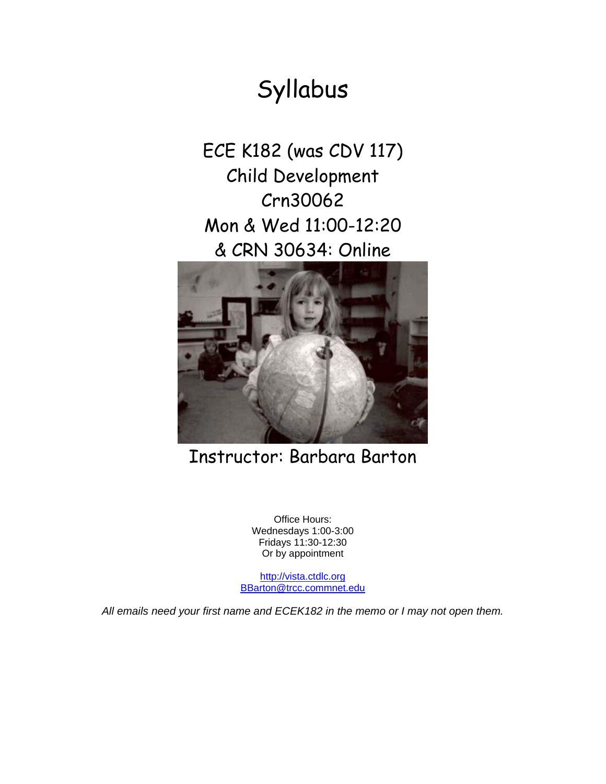# Syllabus

ECE K182 (was CDV 117) Child Development Crn30062 Mon & Wed 11:00-12:20 & CRN 30634: Online



# Instructor: Barbara Barton

Office Hours: Wednesdays 1:00-3:00 Fridays 11:30-12:30 Or by appointment

[http://vista.ctdlc.org](http://vista.ctdlc.org/) [BBarton@trcc.commnet.edu](mailto:BBarton@trcc.commnet.edu)

*All emails need your first name and ECEK182 in the memo or I may not open them.*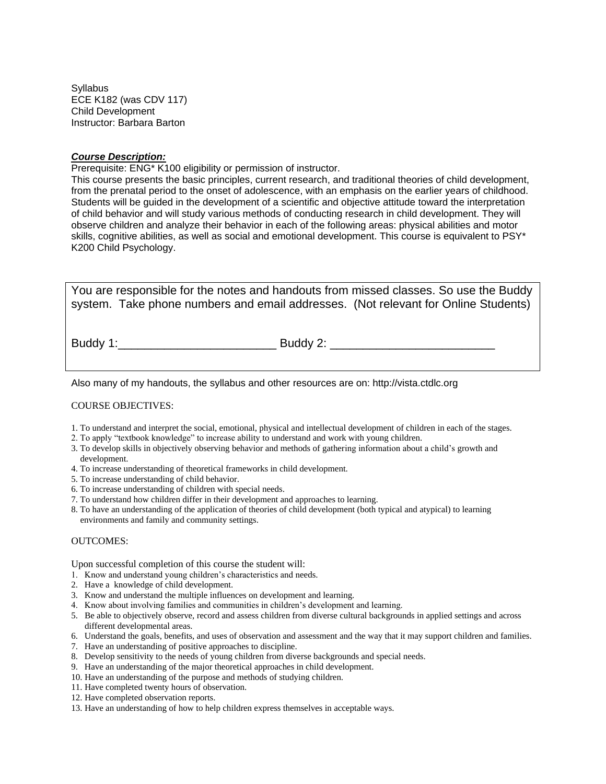Syllabus ECE K182 (was CDV 117) Child Development Instructor: Barbara Barton

# *Course Description:*

Prerequisite: ENG\* K100 eligibility or permission of instructor.

This course presents the basic principles, current research, and traditional theories of child development, from the prenatal period to the onset of adolescence, with an emphasis on the earlier years of childhood. Students will be guided in the development of a scientific and objective attitude toward the interpretation of child behavior and will study various methods of conducting research in child development. They will observe children and analyze their behavior in each of the following areas: physical abilities and motor skills, cognitive abilities, as well as social and emotional development. This course is equivalent to PSY\* K200 Child Psychology.

You are responsible for the notes and handouts from missed classes. So use the Buddy system. Take phone numbers and email addresses. (Not relevant for Online Students)

Buddy 1:\_\_\_\_\_\_\_\_\_\_\_\_\_\_\_\_\_\_\_\_\_\_\_\_ Buddy 2: \_\_\_\_\_\_\_\_\_\_\_\_\_\_\_\_\_\_\_\_\_\_\_\_\_

Also many of my handouts, the syllabus and other resources are on: http://vista.ctdlc.org

#### COURSE OBJECTIVES:

- 1. To understand and interpret the social, emotional, physical and intellectual development of children in each of the stages.
- 2. To apply "textbook knowledge" to increase ability to understand and work with young children.
- 3. To develop skills in objectively observing behavior and methods of gathering information about a child's growth and development.
- 4. To increase understanding of theoretical frameworks in child development.
- 5. To increase understanding of child behavior.
- 6. To increase understanding of children with special needs.
- 7. To understand how children differ in their development and approaches to learning.
- 8. To have an understanding of the application of theories of child development (both typical and atypical) to learning environments and family and community settings.

#### OUTCOMES:

Upon successful completion of this course the student will:

- 1. Know and understand young children's characteristics and needs.
- 2. Have a knowledge of child development.
- 3. Know and understand the multiple influences on development and learning.
- 4. Know about involving families and communities in children's development and learning.
- 5. Be able to objectively observe, record and assess children from diverse cultural backgrounds in applied settings and across different developmental areas.
- 6. Understand the goals, benefits, and uses of observation and assessment and the way that it may support children and families.
- 7. Have an understanding of positive approaches to discipline.
- 8. Develop sensitivity to the needs of young children from diverse backgrounds and special needs.
- 9. Have an understanding of the major theoretical approaches in child development.
- 10. Have an understanding of the purpose and methods of studying children.
- 11. Have completed twenty hours of observation.
- 12. Have completed observation reports.
- 13. Have an understanding of how to help children express themselves in acceptable ways.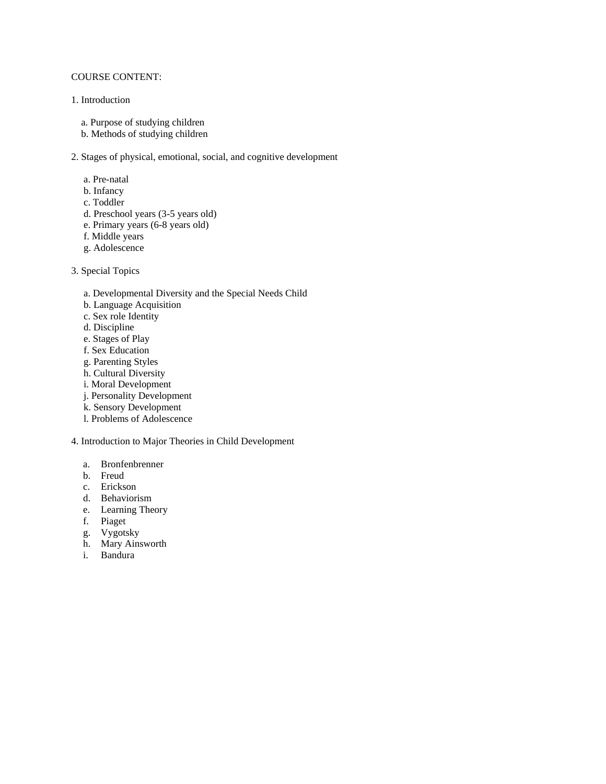# COURSE CONTENT:

#### 1. Introduction

- a. Purpose of studying children
- b. Methods of studying children

# 2. Stages of physical, emotional, social, and cognitive development

- a. Pre-natal
- b. Infancy
- c. Toddler
- d. Preschool years (3-5 years old)
- e. Primary years (6-8 years old)
- f. Middle years
- g. Adolescence
- 3. Special Topics
	- a. Developmental Diversity and the Special Needs Child
	- b. Language Acquisition
	- c. Sex role Identity
	- d. Discipline
	- e. Stages of Play
	- f. Sex Education
	- g. Parenting Styles
	- h. Cultural Diversity
	- i. Moral Development
	- j. Personality Development
	- k. Sensory Development
	- l. Problems of Adolescence

#### 4. Introduction to Major Theories in Child Development

- a. Bronfenbrenner
- b. Freud
- c. Erickson
- d. Behaviorism
- e. Learning Theory
- f. Piaget
- g. Vygotsky
- h. Mary Ainsworth
- i. Bandura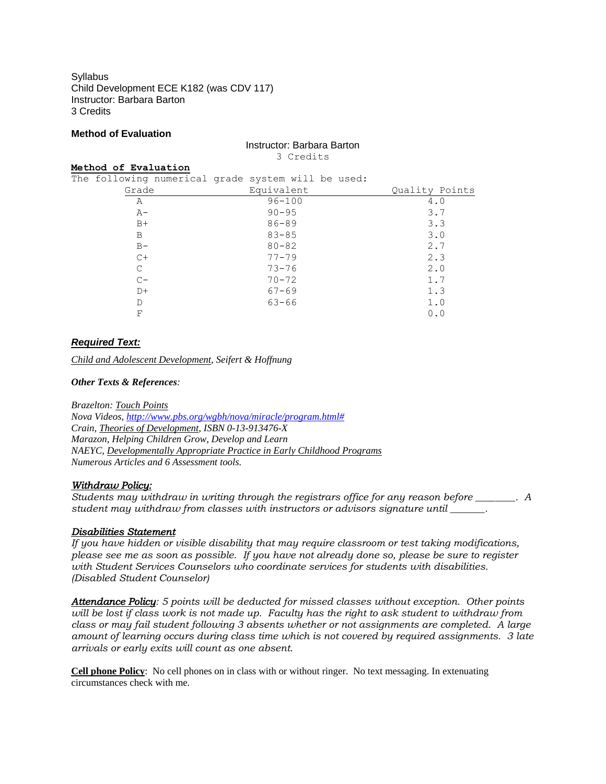**Syllabus** Child Development ECE K182 (was CDV 117) Instructor: Barbara Barton 3 Credits

## **Method of Evaluation**

#### Instructor: Barbara Barton 3 Credits

#### **Method of Evaluation**

The following numerical grade system will be used: Grade **Equivalent Equivalent** Quality Points

| Α     | $96 - 100$ | 4.0 |
|-------|------------|-----|
| $A-$  | $90 - 95$  | 3.7 |
| $B+$  | $86 - 89$  | 3.3 |
| B     | $83 - 85$  | 3.0 |
| $B -$ | $80 - 82$  | 2.7 |
| $C+$  | $77 - 79$  | 2.3 |
| C     | $73 - 76$  | 2.0 |
| $C -$ | $70 - 72$  | 1.7 |
| $D+$  | $67 - 69$  | 1.3 |
| D     | $63 - 66$  | 1.0 |
| F     |            | 0.0 |

# *Required Text:*

*Child and Adolescent Development, Seifert & Hoffnung*

#### *Other Texts & References:*

*Brazelton: Touch Points Nova Videos, [http://www.pbs.org/wgbh/nova/miracle/program.html#](http://www.pbs.org/wgbh/nova/miracle/program.html) Crain, Theories of Development, ISBN 0-13-913476-X Marazon, Helping Children Grow, Develop and Learn NAEYC, Developmentally Appropriate Practice in Early Childhood Programs Numerous Articles and 6 Assessment tools.*

## *Withdraw Policy:*

*Students may withdraw in writing through the registrars office for any reason before \_\_\_\_\_\_\_\_. A student may withdraw from classes with instructors or advisors signature until \_\_\_\_\_\_\_.*

## *Disabilities Statement*

*If you have hidden or visible disability that may require classroom or test taking modifications, please see me as soon as possible. If you have not already done so, please be sure to register with Student Services Counselors who coordinate services for students with disabilities. (Disabled Student Counselor)*

*Attendance Policy: 5 points will be deducted for missed classes without exception. Other points will be lost if class work is not made up. Faculty has the right to ask student to withdraw from class or may fail student following 3 absents whether or not assignments are completed. A large amount of learning occurs during class time which is not covered by required assignments. 3 late arrivals or early exits will count as one absent.*

**Cell phone Policy**: No cell phones on in class with or without ringer. No text messaging. In extenuating circumstances check with me.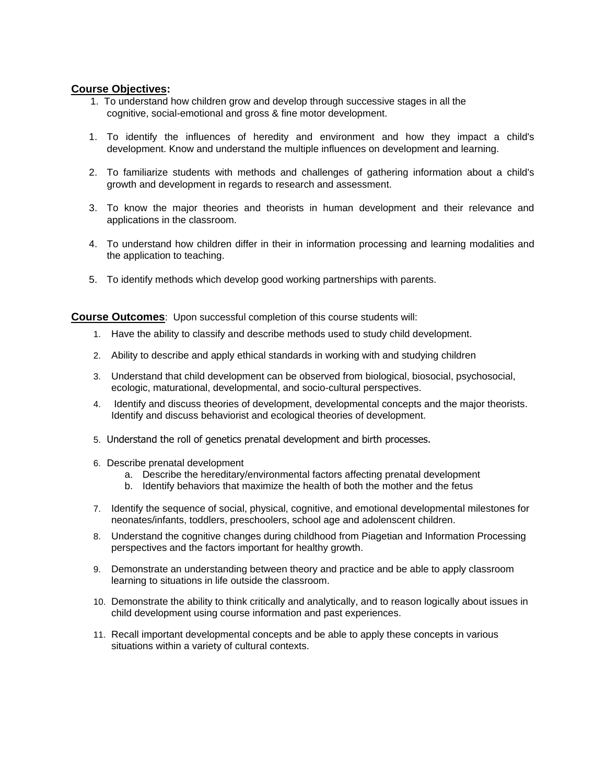# **Course Objectives:**

- 1. To understand how children grow and develop through successive stages in all the cognitive, social-emotional and gross & fine motor development.
- 1. To identify the influences of heredity and environment and how they impact a child's development. Know and understand the multiple influences on development and learning.
- 2. To familiarize students with methods and challenges of gathering information about a child's growth and development in regards to research and assessment.
- 3. To know the major theories and theorists in human development and their relevance and applications in the classroom.
- 4. To understand how children differ in their in information processing and learning modalities and the application to teaching.
- 5. To identify methods which develop good working partnerships with parents.

**Course Outcomes**: Upon successful completion of this course students will:

- 1. Have the ability to classify and describe methods used to study child development.
- 2. Ability to describe and apply ethical standards in working with and studying children
- 3. Understand that child development can be observed from biological, biosocial, psychosocial, ecologic, maturational, developmental, and socio-cultural perspectives.
- 4. Identify and discuss theories of development, developmental concepts and the major theorists. Identify and discuss behaviorist and ecological theories of development.
- 5. Understand the roll of genetics prenatal development and birth processes.
- 6. Describe prenatal development
	- a. Describe the hereditary/environmental factors affecting prenatal development
	- b. Identify behaviors that maximize the health of both the mother and the fetus
- 7. Identify the sequence of social, physical, cognitive, and emotional developmental milestones for neonates/infants, toddlers, preschoolers, school age and adolenscent children.
- 8. Understand the cognitive changes during childhood from Piagetian and Information Processing perspectives and the factors important for healthy growth.
- 9. Demonstrate an understanding between theory and practice and be able to apply classroom learning to situations in life outside the classroom.
- 10. Demonstrate the ability to think critically and analytically, and to reason logically about issues in child development using course information and past experiences.
- 11. Recall important developmental concepts and be able to apply these concepts in various situations within a variety of cultural contexts.